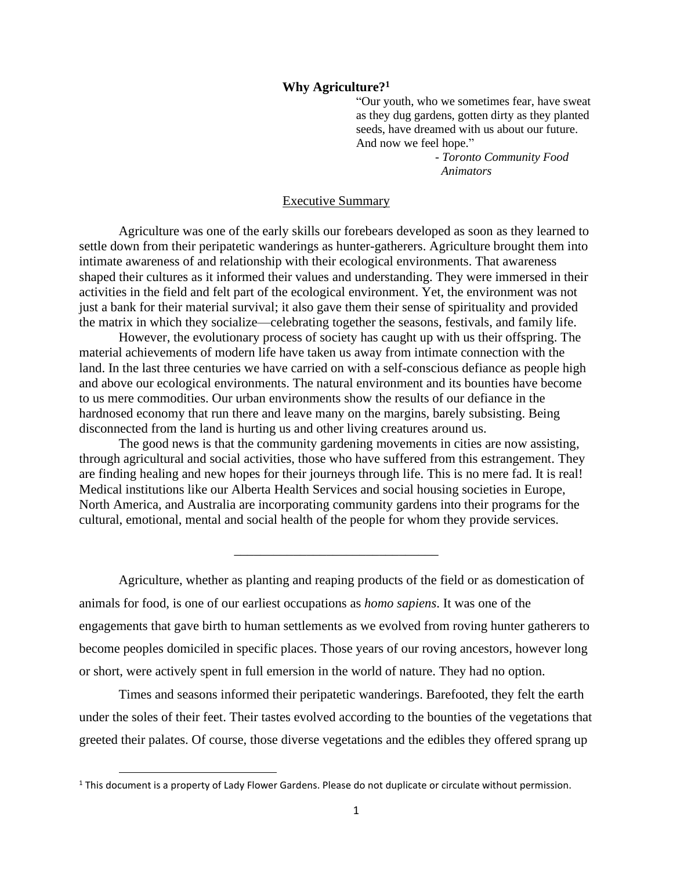## **Why Agriculture? 1**

"Our youth, who we sometimes fear, have sweat as they dug gardens, gotten dirty as they planted seeds, have dreamed with us about our future. And now we feel hope."

> *- Toronto Community Food Animators*

## Executive Summary

Agriculture was one of the early skills our forebears developed as soon as they learned to settle down from their peripatetic wanderings as hunter-gatherers. Agriculture brought them into intimate awareness of and relationship with their ecological environments. That awareness shaped their cultures as it informed their values and understanding. They were immersed in their activities in the field and felt part of the ecological environment. Yet, the environment was not just a bank for their material survival; it also gave them their sense of spirituality and provided the matrix in which they socialize—celebrating together the seasons, festivals, and family life.

However, the evolutionary process of society has caught up with us their offspring. The material achievements of modern life have taken us away from intimate connection with the land. In the last three centuries we have carried on with a self-conscious defiance as people high and above our ecological environments. The natural environment and its bounties have become to us mere commodities. Our urban environments show the results of our defiance in the hardnosed economy that run there and leave many on the margins, barely subsisting. Being disconnected from the land is hurting us and other living creatures around us.

The good news is that the community gardening movements in cities are now assisting, through agricultural and social activities, those who have suffered from this estrangement. They are finding healing and new hopes for their journeys through life. This is no mere fad. It is real! Medical institutions like our Alberta Health Services and social housing societies in Europe, North America, and Australia are incorporating community gardens into their programs for the cultural, emotional, mental and social health of the people for whom they provide services.

Agriculture, whether as planting and reaping products of the field or as domestication of animals for food, is one of our earliest occupations as *homo sapiens*. It was one of the engagements that gave birth to human settlements as we evolved from roving hunter gatherers to become peoples domiciled in specific places. Those years of our roving ancestors, however long or short, were actively spent in full emersion in the world of nature. They had no option.

\_\_\_\_\_\_\_\_\_\_\_\_\_\_\_\_\_\_\_\_\_\_\_\_\_\_\_\_\_\_\_

Times and seasons informed their peripatetic wanderings. Barefooted, they felt the earth under the soles of their feet. Their tastes evolved according to the bounties of the vegetations that greeted their palates. Of course, those diverse vegetations and the edibles they offered sprang up

<sup>&</sup>lt;sup>1</sup> This document is a property of Lady Flower Gardens. Please do not duplicate or circulate without permission.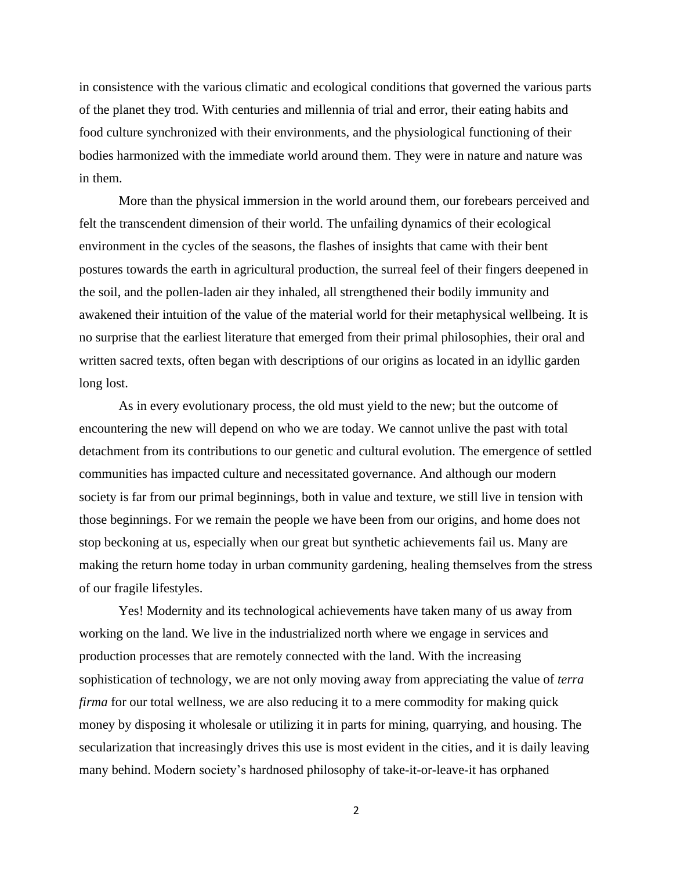in consistence with the various climatic and ecological conditions that governed the various parts of the planet they trod. With centuries and millennia of trial and error, their eating habits and food culture synchronized with their environments, and the physiological functioning of their bodies harmonized with the immediate world around them. They were in nature and nature was in them.

More than the physical immersion in the world around them, our forebears perceived and felt the transcendent dimension of their world. The unfailing dynamics of their ecological environment in the cycles of the seasons, the flashes of insights that came with their bent postures towards the earth in agricultural production, the surreal feel of their fingers deepened in the soil, and the pollen-laden air they inhaled, all strengthened their bodily immunity and awakened their intuition of the value of the material world for their metaphysical wellbeing. It is no surprise that the earliest literature that emerged from their primal philosophies, their oral and written sacred texts, often began with descriptions of our origins as located in an idyllic garden long lost.

As in every evolutionary process, the old must yield to the new; but the outcome of encountering the new will depend on who we are today. We cannot unlive the past with total detachment from its contributions to our genetic and cultural evolution. The emergence of settled communities has impacted culture and necessitated governance. And although our modern society is far from our primal beginnings, both in value and texture, we still live in tension with those beginnings. For we remain the people we have been from our origins, and home does not stop beckoning at us, especially when our great but synthetic achievements fail us. Many are making the return home today in urban community gardening, healing themselves from the stress of our fragile lifestyles.

Yes! Modernity and its technological achievements have taken many of us away from working on the land. We live in the industrialized north where we engage in services and production processes that are remotely connected with the land. With the increasing sophistication of technology, we are not only moving away from appreciating the value of *terra firma* for our total wellness, we are also reducing it to a mere commodity for making quick money by disposing it wholesale or utilizing it in parts for mining, quarrying, and housing. The secularization that increasingly drives this use is most evident in the cities, and it is daily leaving many behind. Modern society's hardnosed philosophy of take-it-or-leave-it has orphaned

2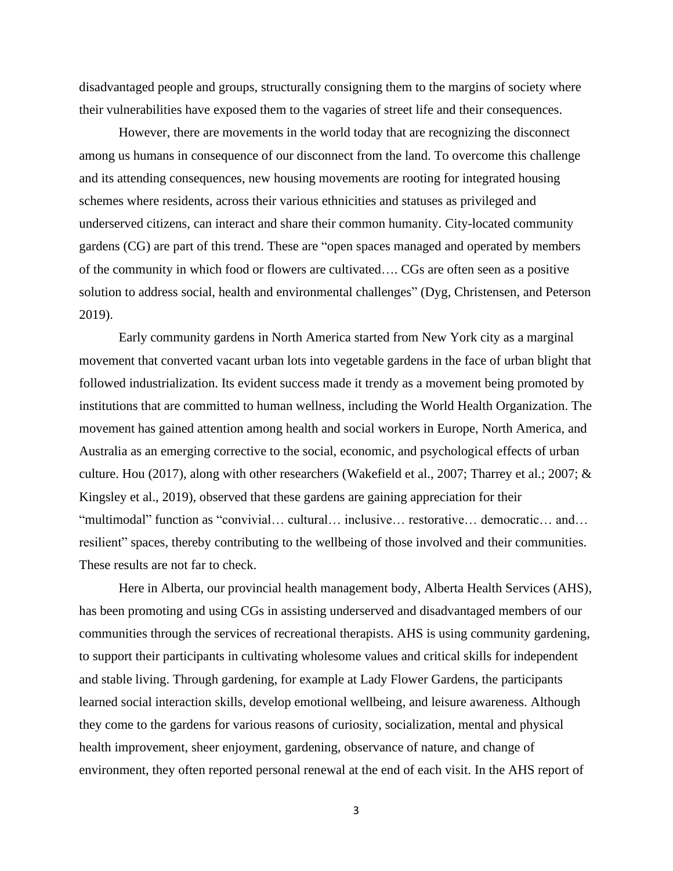disadvantaged people and groups, structurally consigning them to the margins of society where their vulnerabilities have exposed them to the vagaries of street life and their consequences.

However, there are movements in the world today that are recognizing the disconnect among us humans in consequence of our disconnect from the land. To overcome this challenge and its attending consequences, new housing movements are rooting for integrated housing schemes where residents, across their various ethnicities and statuses as privileged and underserved citizens, can interact and share their common humanity. City-located community gardens (CG) are part of this trend. These are "open spaces managed and operated by members of the community in which food or flowers are cultivated…. CGs are often seen as a positive solution to address social, health and environmental challenges" (Dyg, Christensen, and Peterson 2019).

Early community gardens in North America started from New York city as a marginal movement that converted vacant urban lots into vegetable gardens in the face of urban blight that followed industrialization. Its evident success made it trendy as a movement being promoted by institutions that are committed to human wellness, including the World Health Organization. The movement has gained attention among health and social workers in Europe, North America, and Australia as an emerging corrective to the social, economic, and psychological effects of urban culture. Hou (2017), along with other researchers (Wakefield et al., 2007; Tharrey et al.; 2007; & Kingsley et al., 2019), observed that these gardens are gaining appreciation for their "multimodal" function as "convivial… cultural… inclusive… restorative… democratic… and… resilient" spaces, thereby contributing to the wellbeing of those involved and their communities. These results are not far to check.

Here in Alberta, our provincial health management body, Alberta Health Services (AHS), has been promoting and using CGs in assisting underserved and disadvantaged members of our communities through the services of recreational therapists. AHS is using community gardening, to support their participants in cultivating wholesome values and critical skills for independent and stable living. Through gardening, for example at Lady Flower Gardens, the participants learned social interaction skills, develop emotional wellbeing, and leisure awareness. Although they come to the gardens for various reasons of curiosity, socialization, mental and physical health improvement, sheer enjoyment, gardening, observance of nature, and change of environment, they often reported personal renewal at the end of each visit. In the AHS report of

3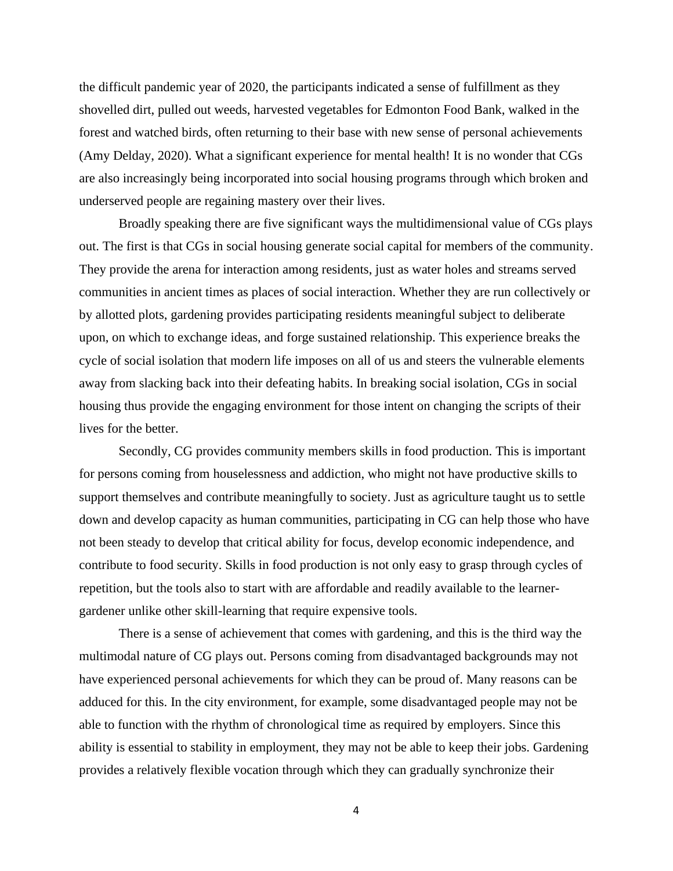the difficult pandemic year of 2020, the participants indicated a sense of fulfillment as they shovelled dirt, pulled out weeds, harvested vegetables for Edmonton Food Bank, walked in the forest and watched birds, often returning to their base with new sense of personal achievements (Amy Delday, 2020). What a significant experience for mental health! It is no wonder that CGs are also increasingly being incorporated into social housing programs through which broken and underserved people are regaining mastery over their lives.

Broadly speaking there are five significant ways the multidimensional value of CGs plays out. The first is that CGs in social housing generate social capital for members of the community. They provide the arena for interaction among residents, just as water holes and streams served communities in ancient times as places of social interaction. Whether they are run collectively or by allotted plots, gardening provides participating residents meaningful subject to deliberate upon, on which to exchange ideas, and forge sustained relationship. This experience breaks the cycle of social isolation that modern life imposes on all of us and steers the vulnerable elements away from slacking back into their defeating habits. In breaking social isolation, CGs in social housing thus provide the engaging environment for those intent on changing the scripts of their lives for the better.

Secondly, CG provides community members skills in food production. This is important for persons coming from houselessness and addiction, who might not have productive skills to support themselves and contribute meaningfully to society. Just as agriculture taught us to settle down and develop capacity as human communities, participating in CG can help those who have not been steady to develop that critical ability for focus, develop economic independence, and contribute to food security. Skills in food production is not only easy to grasp through cycles of repetition, but the tools also to start with are affordable and readily available to the learnergardener unlike other skill-learning that require expensive tools.

There is a sense of achievement that comes with gardening, and this is the third way the multimodal nature of CG plays out. Persons coming from disadvantaged backgrounds may not have experienced personal achievements for which they can be proud of. Many reasons can be adduced for this. In the city environment, for example, some disadvantaged people may not be able to function with the rhythm of chronological time as required by employers. Since this ability is essential to stability in employment, they may not be able to keep their jobs. Gardening provides a relatively flexible vocation through which they can gradually synchronize their

4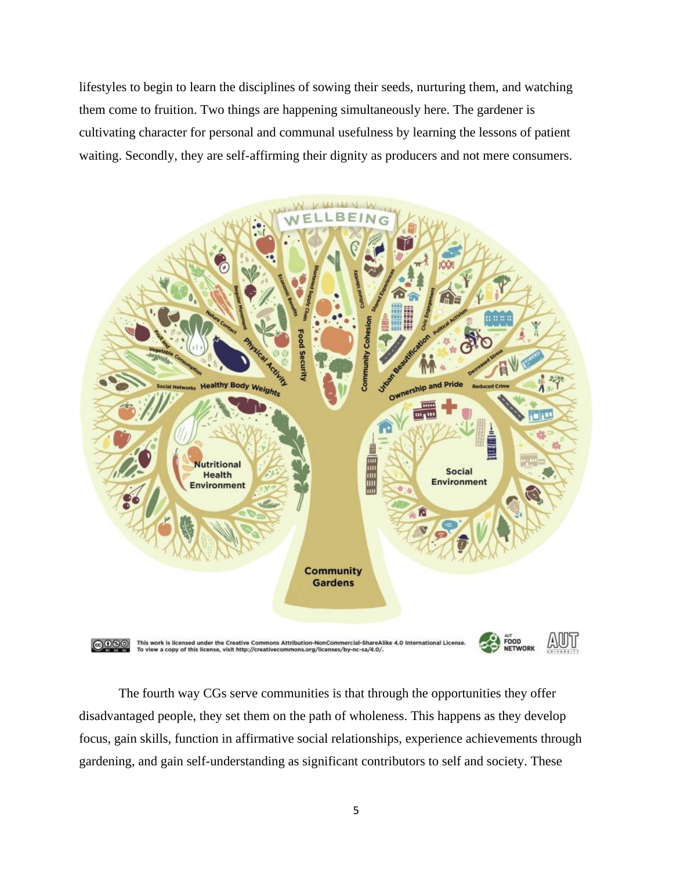lifestyles to begin to learn the disciplines of sowing their seeds, nurturing them, and watching them come to fruition. Two things are happening simultaneously here. The gardener is cultivating character for personal and communal usefulness by learning the lessons of patient waiting. Secondly, they are self-affirming their dignity as producers and not mere consumers.



The fourth way CGs serve communities is that through the opportunities they offer disadvantaged people, they set them on the path of wholeness. This happens as they develop focus, gain skills, function in affirmative social relationships, experience achievements through gardening, and gain self-understanding as significant contributors to self and society. These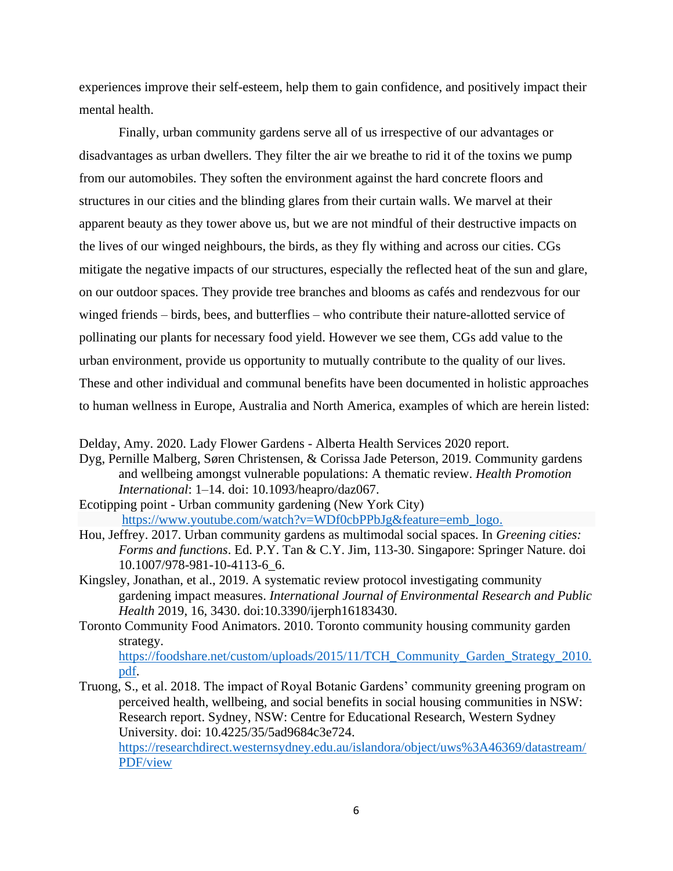experiences improve their self-esteem, help them to gain confidence, and positively impact their mental health.

Finally, urban community gardens serve all of us irrespective of our advantages or disadvantages as urban dwellers. They filter the air we breathe to rid it of the toxins we pump from our automobiles. They soften the environment against the hard concrete floors and structures in our cities and the blinding glares from their curtain walls. We marvel at their apparent beauty as they tower above us, but we are not mindful of their destructive impacts on the lives of our winged neighbours, the birds, as they fly withing and across our cities. CGs mitigate the negative impacts of our structures, especially the reflected heat of the sun and glare, on our outdoor spaces. They provide tree branches and blooms as cafés and rendezvous for our winged friends – birds, bees, and butterflies – who contribute their nature-allotted service of pollinating our plants for necessary food yield. However we see them, CGs add value to the urban environment, provide us opportunity to mutually contribute to the quality of our lives. These and other individual and communal benefits have been documented in holistic approaches to human wellness in Europe, Australia and North America, examples of which are herein listed:

Delday, Amy. 2020. Lady Flower Gardens - Alberta Health Services 2020 report.

- Dyg, Pernille Malberg, Søren Christensen, & Corissa Jade Peterson, 2019. Community gardens and wellbeing amongst vulnerable populations: A thematic review. *Health Promotion International*: 1–14. doi: 10.1093/heapro/daz067.
- Ecotipping point Urban community gardening (New York City) [https://www.youtube.com/watch?v=WDf0cbPPbJg&feature=emb\\_logo.](https://www.youtube.com/watch?v=WDf0cbPPbJg&feature=emb_logo)
- Hou, Jeffrey. 2017. Urban community gardens as multimodal social spaces. In *Greening cities: Forms and functions*. Ed. P.Y. Tan & C.Y. Jim, 113-30. Singapore: Springer Nature. doi 10.1007/978-981-10-4113-6\_6.
- Kingsley, Jonathan, et al., 2019. A systematic review protocol investigating community gardening impact measures. *International Journal of Environmental Research and Public Health* 2019, 16, 3430. doi:10.3390/ijerph16183430.
- Toronto Community Food Animators. 2010. Toronto community housing community garden strategy.

[https://foodshare.net/custom/uploads/2015/11/TCH\\_Community\\_Garden\\_Strategy\\_2010.](https://foodshare.net/custom/uploads/2015/11/TCH_Community_Garden_Strategy_2010.pdf) [pdf.](https://foodshare.net/custom/uploads/2015/11/TCH_Community_Garden_Strategy_2010.pdf)

Truong, S., et al. 2018. The impact of Royal Botanic Gardens' community greening program on perceived health, wellbeing, and social benefits in social housing communities in NSW: Research report. Sydney, NSW: Centre for Educational Research, Western Sydney University. doi: 10.4225/35/5ad9684c3e724.

[https://researchdirect.westernsydney.edu.au/islandora/object/uws%3A46369/datastream/](https://researchdirect.westernsydney.edu.au/islandora/object/uws%3A46369/datastream/PDF/view) [PDF/view](https://researchdirect.westernsydney.edu.au/islandora/object/uws%3A46369/datastream/PDF/view)